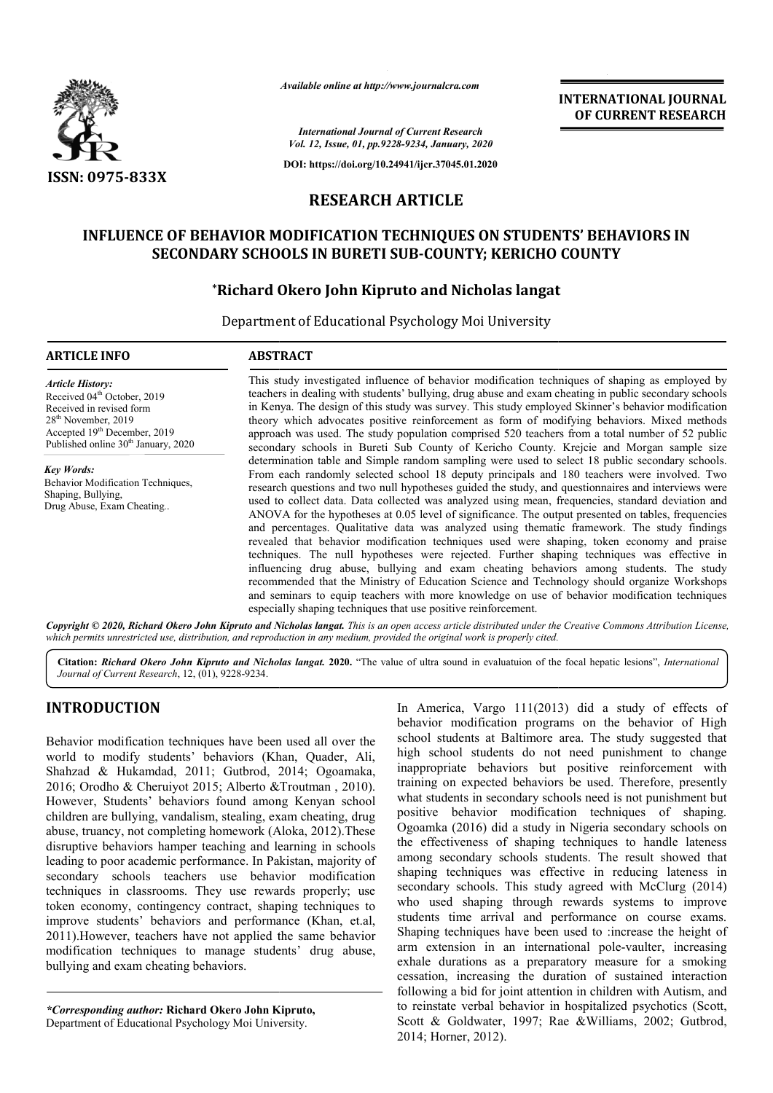

*Available online at http://www.journalcra.com*

**INTERNATIONAL JOURNAL OF CURRENT RESEARCH**

*International Journal of Current Research Vol. 12, Issue, 01, pp.9228-9234, January, 2020*

**DOI: https://doi.org/10.24941/ijcr.37045.01.2020**

# **RESEARCH ARTICLE**

# **INFLUENCE OF BEHAVIOR MODIFICATION TECHNIQUES ON STUDENTS' BEHAVIORS IN**  SECONDARY SCHOOLS IN BURETI SUB-COUNTY; KERICHO COUNTY

# **\*Richard Okero John Kipruto and Nicholas langat**

Department of Educational Psychology Moi University

| <b>ARTICLE INFO</b>                                                                                                                                                                                                              | <b>ABSTRACT</b>                                                                                                                                                                                                                                                                                                                                                                                                                                                                                                                                                                                                                                                                                                                                                                                                                                                                                                                                                                                                                                                                                                                                                          |  |  |  |  |  |  |  |  |  |  |
|----------------------------------------------------------------------------------------------------------------------------------------------------------------------------------------------------------------------------------|--------------------------------------------------------------------------------------------------------------------------------------------------------------------------------------------------------------------------------------------------------------------------------------------------------------------------------------------------------------------------------------------------------------------------------------------------------------------------------------------------------------------------------------------------------------------------------------------------------------------------------------------------------------------------------------------------------------------------------------------------------------------------------------------------------------------------------------------------------------------------------------------------------------------------------------------------------------------------------------------------------------------------------------------------------------------------------------------------------------------------------------------------------------------------|--|--|--|--|--|--|--|--|--|--|
| <b>Article History:</b><br>Received 04 <sup>th</sup> October, 2019<br>Received in revised form<br>28 <sup>th</sup> November, 2019<br>Accepted 19 <sup>th</sup> December, 2019<br>Published online 30 <sup>th</sup> January, 2020 | This study investigated influence of behavior modification techniques of shaping as employed by<br>teachers in dealing with students' bullying, drug abuse and exam cheating in public secondary schools<br>in Kenya. The design of this study was survey. This study employed Skinner's behavior modification<br>theory which advocates positive reinforcement as form of modifying behaviors. Mixed methods<br>approach was used. The study population comprised 520 teachers from a total number of 52 public<br>secondary schools in Bureti Sub County of Kericho County. Krejcie and Morgan sample size                                                                                                                                                                                                                                                                                                                                                                                                                                                                                                                                                             |  |  |  |  |  |  |  |  |  |  |
| <b>Key Words:</b><br>Behavior Modification Techniques,<br>Shaping, Bullying,<br>Drug Abuse, Exam Cheating                                                                                                                        | determination table and Simple random sampling were used to select 18 public secondary schools.<br>From each randomly selected school 18 deputy principals and 180 teachers were involved. Two<br>research questions and two null hypotheses guided the study, and questionnaires and interviews were<br>used to collect data. Data collected was analyzed using mean, frequencies, standard deviation and<br>ANOVA for the hypotheses at 0.05 level of significance. The output presented on tables, frequencies<br>and percentages. Qualitative data was analyzed using thematic framework. The study findings<br>revealed that behavior modification techniques used were shaping, token economy and praise<br>techniques. The null hypotheses were rejected. Further shaping techniques was effective in<br>influencing drug abuse, bullying and exam cheating behaviors among students. The study<br>recommended that the Ministry of Education Science and Technology should organize Workshops<br>and seminars to equip teachers with more knowledge on use of behavior modification techniques<br>especially shaping techniques that use positive reinforcement. |  |  |  |  |  |  |  |  |  |  |

Copyright © 2020, Richard Okero John Kipruto and Nicholas langat. This is an open access article distributed under the Creative Commons Attribution License, which permits unrestricted use, distribution, and reproduction in any medium, provided the original work is properly cited.

Citation: *Richard Okero John Kipruto and Nicholas langat.* 2020. "The value of ultra sound in evaluatuion of the focal hepatic lesions", *International Journal of Current Research*, 12, (01), 9228-9234.

# **INTRODUCTION**

Behavior modification techniques have been used all over the world to modify students' behaviors (Khan, Quader, Ali, Shahzad & Hukamdad, 2011; Gutbrod, 2014; Ogoamaka, 2016; Orodho & Cheruiyot 2015; Alberto &Troutman , 2010). However, Students' behaviors found among Kenyan school children are bullying, vandalism, stealing, exam cheating, drug abuse, truancy, not completing homework (Aloka, 2012).These disruptive behaviors hamper teaching and learning in schools leading to poor academic performance. In Pakistan, majority of secondary schools teachers use behavior modification techniques in classrooms. They use rewards properly; use token economy, contingency contract, shaping techniques to improve students' behaviors and performance (Khan, et.al, 2011).However, teachers have not applied the same behavior modification techniques to manage students' drug abuse, bullying and exam cheating behaviors.

*\*Corresponding author:* **Richard Okero John Kipruto Kipruto,** Department of Educational Psychology Moi University.

In America, Vargo 111(2013) did a study of effects of behavior modification programs on the behavior of High school students at Baltimore area. The study suggested that high school students do not need punishment to change inappropriate behaviors but positive reinforcement with training on expected behaviors be used. Therefore, presently what students in secondary schools need is not punishment but positive behavior modification techniques of shaping. Ogoamka (2016) did a study in Nigeria secondary schools on the effectiveness of shaping techniques to handle lateness among secondary schools students. The result showed that shaping techniques was effective in reducing lateness in secondary schools. This study agreed with McClurg (2014) who used shaping through rewards systems to improve students time arrival and performance on course exams. Shaping techniques have been used to :increase the height of arm extension in an international pole-vaulter, increasing exhale durations as a preparatory measure for a smoking cessation, increasing the duration of sustained interaction following a bid for joint attention in children with Autism, and to reinstate verbal behavior in hospitalized psychotics (Scott, Scott & Goldwater, 1997; Rae &Williams, 2002; Gutbrod, 2014; Horner, 2012). behavior modification programs on the behavior of High school students at Baltimore area. The study suggested that high school students do not need punishment to change inappropriate behaviors but positive reinforcement with<br>training on expected behaviors be used. Therefore, presently<br>what students in secondary schools need is not punishment bu<br>positive behavior modification techniques of cctiveness of shaping techniques to handle lateness<br>secondary schools students. The result showed that<br>techniques was effective in reducing lateness in<br>ry schools. This study agreed with McClurg (2014)<br>ed shaping through r exhale durations as a preparatory measure for a smoking cessation, increasing the duration of sustained interaction following a bid for joint attention in children with Autism, and **INTEENDATIONAL JOURNAL**<br> **IDENDATION CONTROVAL SETTLE ANTIFICATION CONTROVER (CONTROVERT), 2020<br>
2020<br>
2020<br>
2020<br>
2020<br>
2020<br>
2020<br>
2020<br>
2020<br>
2020<br>
2020<br>
2020<br>
2020<br>
2020<br>
2020<br>
2020<br>
2020<br>
2020<br>
2020<br>
2020<br>
2020<br>
2020**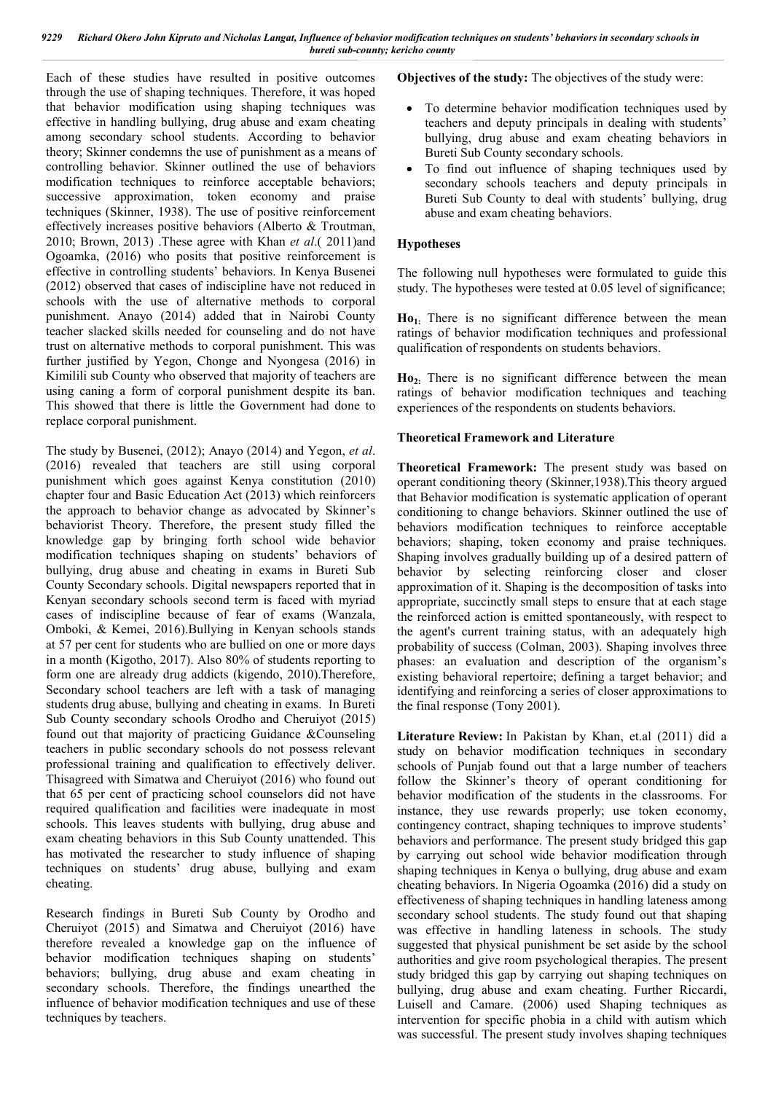*9229 Richard Okero John Kipruto and Nicholas Langat, Influence of behavior modification techniques on students' behaviors in secondary schools in bureti sub-county; kericho county*

Each of these studies have resulted in positive outcomes through the use of shaping techniques. Therefore, it was hoped that behavior modification using shaping techniques was effective in handling bullying, drug abuse and exam cheating among secondary school students. According to behavior theory; Skinner condemns the use of punishment as a means of controlling behavior. Skinner outlined the use of behaviors modification techniques to reinforce acceptable behaviors; successive approximation, token economy and praise techniques (Skinner, 1938). The use of positive reinforcement effectively increases positive behaviors (Alberto & Troutman, 2010; Brown, 2013) .These agree with Khan *et al*.( 2011)and Ogoamka, (2016) who posits that positive reinforcement is effective in controlling students' behaviors. In Kenya Busenei (2012) observed that cases of indiscipline have not reduced in schools with the use of alternative methods to corporal punishment. Anayo (2014) added that in Nairobi County teacher slacked skills needed for counseling and do not have trust on alternative methods to corporal punishment. This was further justified by Yegon, Chonge and Nyongesa (2016) in Kimilili sub County who observed that majority of teachers are using caning a form of corporal punishment despite its ban. This showed that there is little the Government had done to replace corporal punishment.

The study by Busenei, (2012); Anayo (2014) and Yegon, *et al*. (2016) revealed that teachers are still using corporal punishment which goes against Kenya constitution (2010) chapter four and Basic Education Act (2013) which reinforcers the approach to behavior change as advocated by Skinner's behaviorist Theory. Therefore, the present study filled the knowledge gap by bringing forth school wide behavior modification techniques shaping on students' behaviors of bullying, drug abuse and cheating in exams in Bureti Sub County Secondary schools. Digital newspapers reported that in Kenyan secondary schools second term is faced with myriad cases of indiscipline because of fear of exams (Wanzala, Omboki, & Kemei, 2016).Bullying in Kenyan schools stands at 57 per cent for students who are bullied on one or more days in a month (Kigotho, 2017). Also 80% of students reporting to form one are already drug addicts (kigendo, 2010).Therefore, Secondary school teachers are left with a task of managing students drug abuse, bullying and cheating in exams. In Bureti Sub County secondary schools Orodho and Cheruiyot (2015) found out that majority of practicing Guidance &Counseling teachers in public secondary schools do not possess relevant professional training and qualification to effectively deliver. Thisagreed with Simatwa and Cheruiyot (2016) who found out that 65 per cent of practicing school counselors did not have required qualification and facilities were inadequate in most schools. This leaves students with bullying, drug abuse and exam cheating behaviors in this Sub County unattended. This has motivated the researcher to study influence of shaping techniques on students' drug abuse, bullying and exam cheating.

Research findings in Bureti Sub County by Orodho and Cheruiyot (2015) and Simatwa and Cheruiyot (2016) have therefore revealed a knowledge gap on the influence of behavior modification techniques shaping on students' behaviors; bullying, drug abuse and exam cheating in secondary schools. Therefore, the findings unearthed the influence of behavior modification techniques and use of these techniques by teachers.

**Objectives of the study:** The objectives of the study were:

- To determine behavior modification techniques used by teachers and deputy principals in dealing with students' bullying, drug abuse and exam cheating behaviors in Bureti Sub County secondary schools.
- To find out influence of shaping techniques used by secondary schools teachers and deputy principals in Bureti Sub County to deal with students' bullying, drug abuse and exam cheating behaviors.

### **Hypotheses**

The following null hypotheses were formulated to guide this study. The hypotheses were tested at 0.05 level of significance;

**Ho1:** There is no significant difference between the mean ratings of behavior modification techniques and professional qualification of respondents on students behaviors.

**Ho2:** There is no significant difference between the mean ratings of behavior modification techniques and teaching experiences of the respondents on students behaviors.

### **Theoretical Framework and Literature**

**Theoretical Framework:** The present study was based on operant conditioning theory (Skinner,1938).This theory argued that Behavior modification is systematic application of operant conditioning to change behaviors. Skinner outlined the use of behaviors modification techniques to reinforce acceptable behaviors; shaping, token economy and praise techniques. Shaping involves gradually building up of a desired pattern of behavior by selecting reinforcing closer and closer approximation of it. Shaping is the decomposition of tasks into appropriate, succinctly small steps to ensure that at each stage the reinforced action is emitted spontaneously, with respect to the agent's current training status, with an adequately high probability of success (Colman, 2003). Shaping involves three phases: an evaluation and description of the organism's existing behavioral repertoire; defining a target behavior; and identifying and reinforcing a series of closer approximations to the final response (Tony 2001).

**Literature Review:** In Pakistan by Khan, et.al (2011) did a study on behavior modification techniques in secondary schools of Punjab found out that a large number of teachers follow the Skinner's theory of operant conditioning for behavior modification of the students in the classrooms. For instance, they use rewards properly; use token economy, contingency contract, shaping techniques to improve students' behaviors and performance. The present study bridged this gap by carrying out school wide behavior modification through shaping techniques in Kenya o bullying, drug abuse and exam cheating behaviors. In Nigeria Ogoamka (2016) did a study on effectiveness of shaping techniques in handling lateness among secondary school students. The study found out that shaping was effective in handling lateness in schools. The study suggested that physical punishment be set aside by the school authorities and give room psychological therapies. The present study bridged this gap by carrying out shaping techniques on bullying, drug abuse and exam cheating. Further Riccardi, Luisell and Camare. (2006) used Shaping techniques as intervention for specific phobia in a child with autism which was successful. The present study involves shaping techniques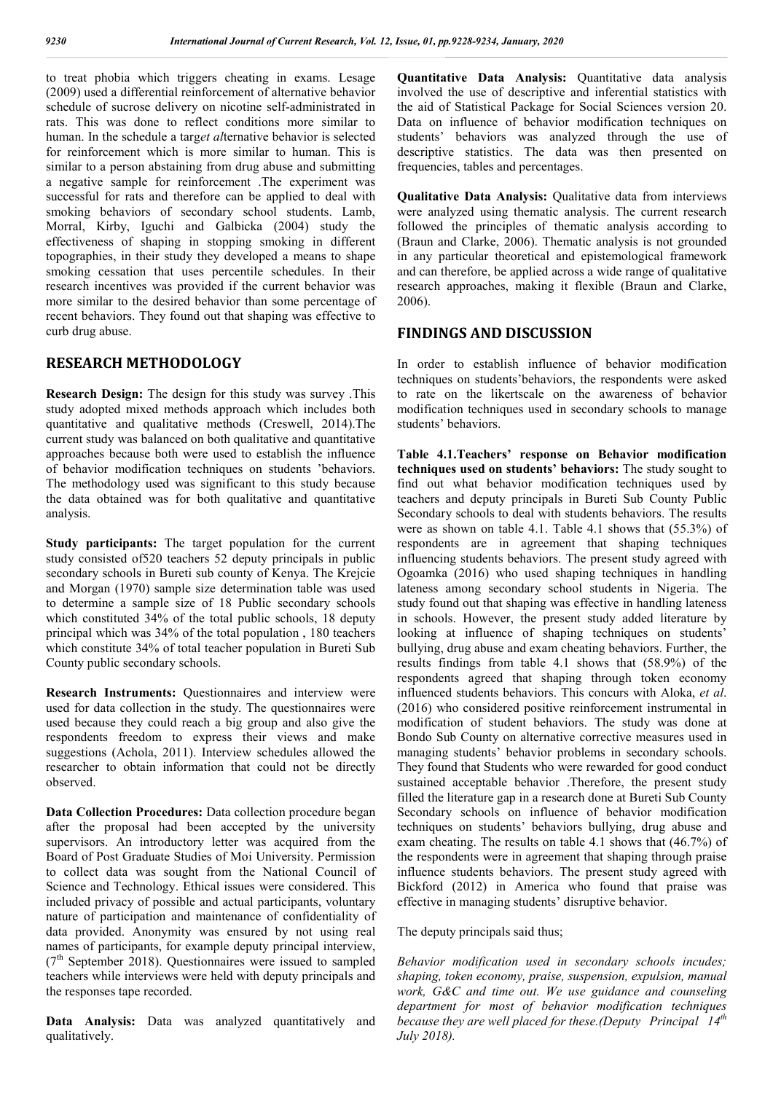to treat phobia which triggers cheating in exams. Lesage (2009) used a differential reinforcement of alternative behavior schedule of sucrose delivery on nicotine self-administrated in rats. This was done to reflect conditions more similar to human. In the schedule a targ*et al*ternative behavior is selected for reinforcement which is more similar to human. This is similar to a person abstaining from drug abuse and submitting a negative sample for reinforcement .The experiment was successful for rats and therefore can be applied to deal with smoking behaviors of secondary school students. Lamb, Morral, Kirby, Iguchi and Galbicka (2004) study the effectiveness of shaping in stopping smoking in different topographies, in their study they developed a means to shape smoking cessation that uses percentile schedules. In their research incentives was provided if the current behavior was more similar to the desired behavior than some percentage of recent behaviors. They found out that shaping was effective to curb drug abuse.

## **RESEARCH METHODOLOGY**

**Research Design:** The design for this study was survey .This study adopted mixed methods approach which includes both quantitative and qualitative methods (Creswell, 2014).The current study was balanced on both qualitative and quantitative approaches because both were used to establish the influence of behavior modification techniques on students 'behaviors. The methodology used was significant to this study because the data obtained was for both qualitative and quantitative analysis.

**Study participants:** The target population for the current study consisted of520 teachers 52 deputy principals in public secondary schools in Bureti sub county of Kenya. The Krejcie and Morgan (1970) sample size determination table was used to determine a sample size of 18 Public secondary schools which constituted  $34\%$  of the total public schools, 18 deputy principal which was 34% of the total population , 180 teachers which constitute 34% of total teacher population in Bureti Sub County public secondary schools.

**Research Instruments:** Questionnaires and interview were used for data collection in the study. The questionnaires were used because they could reach a big group and also give the respondents freedom to express their views and make suggestions (Achola, 2011). Interview schedules allowed the researcher to obtain information that could not be directly observed.

**Data Collection Procedures:** Data collection procedure began after the proposal had been accepted by the university supervisors. An introductory letter was acquired from the Board of Post Graduate Studies of Moi University. Permission to collect data was sought from the National Council of Science and Technology. Ethical issues were considered. This included privacy of possible and actual participants, voluntary nature of participation and maintenance of confidentiality of data provided. Anonymity was ensured by not using real names of participants, for example deputy principal interview,  $(7<sup>th</sup>$  September 2018). Questionnaires were issued to sampled teachers while interviews were held with deputy principals and the responses tape recorded.

**Data Analysis:** Data was analyzed quantitatively and qualitatively.

**Quantitative Data Analysis:** Quantitative data analysis involved the use of descriptive and inferential statistics with the aid of Statistical Package for Social Sciences version 20. Data on influence of behavior modification techniques on students' behaviors was analyzed through the use of descriptive statistics. The data was then presented on frequencies, tables and percentages.

**Qualitative Data Analysis:** Qualitative data from interviews were analyzed using thematic analysis. The current research followed the principles of thematic analysis according to (Braun and Clarke, 2006). Thematic analysis is not grounded in any particular theoretical and epistemological framework and can therefore, be applied across a wide range of qualitative research approaches, making it flexible (Braun and Clarke, 2006).

## **FINDINGS AND DISCUSSION**

In order to establish influence of behavior modification techniques on students'behaviors, the respondents were asked to rate on the likertscale on the awareness of behavior modification techniques used in secondary schools to manage students' behaviors.

**Table 4.1.Teachers' response on Behavior modification techniques used on students' behaviors:** The study sought to find out what behavior modification techniques used by teachers and deputy principals in Bureti Sub County Public Secondary schools to deal with students behaviors. The results were as shown on table 4.1. Table 4.1 shows that (55.3%) of respondents are in agreement that shaping techniques influencing students behaviors. The present study agreed with Ogoamka (2016) who used shaping techniques in handling lateness among secondary school students in Nigeria. The study found out that shaping was effective in handling lateness in schools. However, the present study added literature by looking at influence of shaping techniques on students' bullying, drug abuse and exam cheating behaviors. Further, the results findings from table 4.1 shows that (58.9%) of the respondents agreed that shaping through token economy influenced students behaviors. This concurs with Aloka, *et al*. (2016) who considered positive reinforcement instrumental in modification of student behaviors. The study was done at Bondo Sub County on alternative corrective measures used in managing students' behavior problems in secondary schools. They found that Students who were rewarded for good conduct sustained acceptable behavior .Therefore, the present study filled the literature gap in a research done at Bureti Sub County Secondary schools on influence of behavior modification techniques on students' behaviors bullying, drug abuse and exam cheating. The results on table 4.1 shows that (46.7%) of the respondents were in agreement that shaping through praise influence students behaviors. The present study agreed with Bickford (2012) in America who found that praise was effective in managing students' disruptive behavior.

#### The deputy principals said thus;

*Behavior modification used in secondary schools incudes; shaping, token economy, praise, suspension, expulsion, manual work, G&C and time out. We use guidance and counseling department for most of behavior modification techniques because they are well placed for these.(Deputy Principal 14th July 2018).*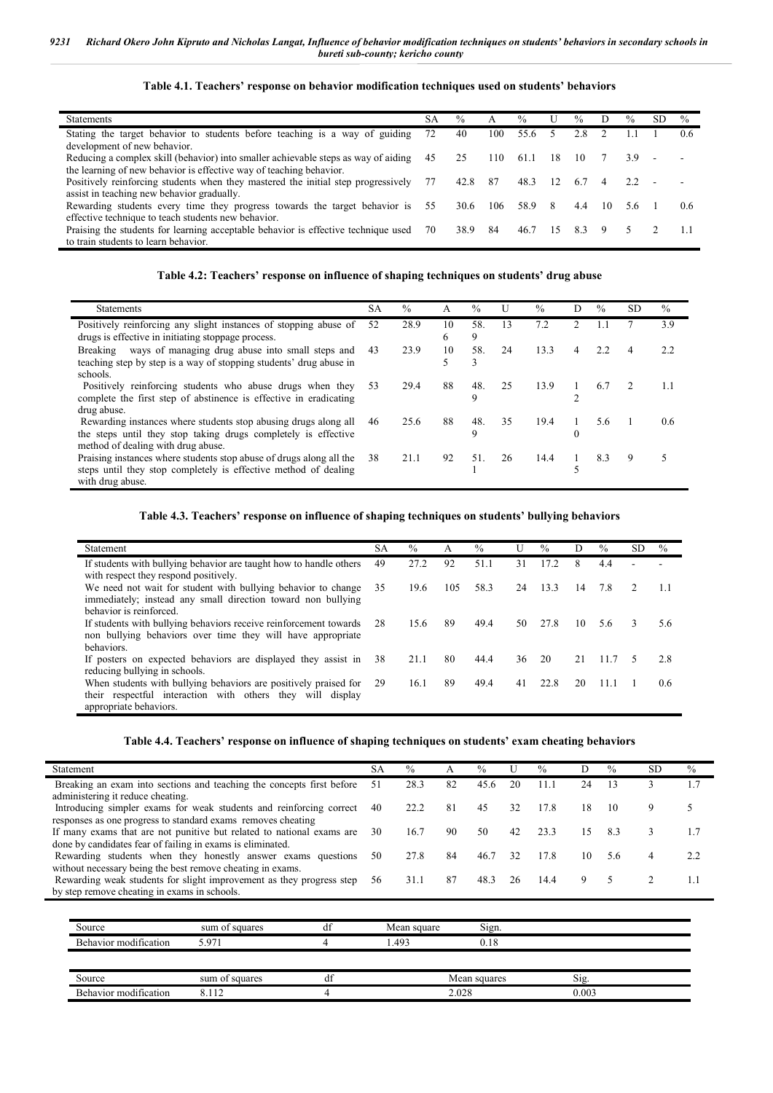**Table 4.1. Teachers' response on behavior modification techniques used on students' behaviors**

| <b>Statements</b>                                                                                                                                         | SА | $\frac{0}{0}$ | A   | $\frac{0}{0}$ | U   | $\frac{0}{0}$ | D  | $\frac{0}{0}$ | SD | $\frac{0}{0}$ |
|-----------------------------------------------------------------------------------------------------------------------------------------------------------|----|---------------|-----|---------------|-----|---------------|----|---------------|----|---------------|
| Stating the target behavior to students before teaching is a way of guiding<br>development of new behavior.                                               | 72 | 40            | 100 | 55.6          |     | 2.8           |    |               |    | 0.6           |
| Reducing a complex skill (behavior) into smaller achievable steps as way of aiding<br>the learning of new behavior is effective way of teaching behavior. | 45 | 25            | 110 | 61.1          | -18 | 10            |    | 3.9           |    |               |
| Positively reinforcing students when they mastered the initial step progressively<br>assist in teaching new behavior gradually.                           | 77 | 42.8          | -87 | 48.3          | 12  | 6.7           | 4  |               |    |               |
| Rewarding students every time they progress towards the target behavior is<br>effective technique to teach students new behavior.                         | 55 | 30.6          | 106 | 58.9          | -8  | 4.4           | 10 | 5.6           |    | $0.6^{\circ}$ |
| Praising the students for learning acceptable behavior is effective technique used<br>to train students to learn behavior.                                | 70 | 38.9          | 84  | 46.7          | 15  | 83            | 9  | -5.           |    |               |

#### **Table 4.2: Teachers' response on influence of shaping techniques on students' drug abuse**

| <b>Statements</b>                                                                                                                                                       | <b>SA</b> | $\frac{0}{0}$ | А       | $\%$     | U  | $\frac{0}{0}$ | D                           | $\%$ | SD. | $\%$ |
|-------------------------------------------------------------------------------------------------------------------------------------------------------------------------|-----------|---------------|---------|----------|----|---------------|-----------------------------|------|-----|------|
| Positively reinforcing any slight instances of stopping abuse of<br>drugs is effective in initiating stoppage process.                                                  | 52        | 28.9          | 10<br>6 | 58.<br>9 | 13 | 7.2           | $\mathcal{D}_{\mathcal{L}}$ |      |     | 3.9  |
| Breaking ways of managing drug abuse into small steps and<br>teaching step by step is a way of stopping students' drug abuse in<br>schools.                             | 43        | 23.9          | 10      | 58.<br>3 | 24 | 13.3          | 4                           | 2.2  |     | 2.2  |
| Positively reinforcing students who abuse drugs when they<br>complete the first step of abstinence is effective in eradicating<br>drug abuse.                           | 53        | 29.4          | 88      | 48.<br>Q | 25 | 13.9          | ↑                           | 6.7  |     |      |
| Rewarding instances where students stop abusing drugs along all<br>the steps until they stop taking drugs completely is effective<br>method of dealing with drug abuse. | 46        | 25.6          | 88      | 48.<br>9 | 35 | 19.4          | $\Omega$                    | 5.6  |     | 0.6  |
| Praising instances where students stop abuse of drugs along all the<br>steps until they stop completely is effective method of dealing<br>with drug abuse.              | 38        | 21.1          | 92      | 51.      | 26 | 14.4          |                             | 8.3  | 9   |      |

#### **Table 4.3. Teachers' response on influence of shaping techniques on students' bullying behaviors**

| Statement                                                                                                                                                | SА  | $\%$ | А   | $\%$ |    | $\%$ | D  | $\frac{0}{0}$ | SD. | $\frac{0}{0}$ |
|----------------------------------------------------------------------------------------------------------------------------------------------------------|-----|------|-----|------|----|------|----|---------------|-----|---------------|
| If students with bullying behavior are taught how to handle others<br>with respect they respond positively.                                              | 49  | 27.2 | 92  | 51.1 | 31 | 17.2 | 8  | 4.4           |     |               |
| We need not wait for student with bullying behavior to change<br>immediately; instead any small direction toward non bullying<br>behavior is reinforced. | 35  | 19.6 | 105 | 58.3 | 24 | 13.3 | 14 | 7.8           |     |               |
| If students with bullying behaviors receive reinforcement towards 28<br>non bullying behaviors over time they will have appropriate<br>behaviors.        |     | 15.6 | 89  | 49.4 | 50 | 27.8 | 10 | 5.6           | 3   | 5.6           |
| If posters on expected behaviors are displayed they assist in<br>reducing bullying in schools.                                                           | 38  | 21.1 | 80  | 44.4 | 36 | 20   | 21 | 11.7          | 5   | 2.8           |
| When students with bullying behaviors are positively praised for<br>their respectful interaction with others they will display<br>appropriate behaviors. | -29 | 16.1 | 89  | 49.4 | 41 | 22.8 | 20 | 11.1          |     | $0.6^{\circ}$ |

### **Table 4.4. Teachers' response on influence of shaping techniques on students' exam cheating behaviors**

| Statement                                                             | SА | $\frac{0}{0}$ | A   | $\frac{0}{0}$ | U  | $\frac{0}{0}$ | D  | $\frac{0}{0}$ | SD. | $\frac{0}{0}$ |
|-----------------------------------------------------------------------|----|---------------|-----|---------------|----|---------------|----|---------------|-----|---------------|
| Breaking an exam into sections and teaching the concepts first before | 51 | 28.3          | 82  | 45.6          | 20 | 11.1          | 24 | 13            |     | 1.7           |
| administering it reduce cheating.                                     |    |               |     |               |    |               |    |               |     |               |
| Introducing simpler exams for weak students and reinforcing correct   | 40 | 22.2          | -81 | 45            | 32 | 17.8          | 18 | 10            |     |               |
| responses as one progress to standard exams removes cheating          |    |               |     |               |    |               |    |               |     |               |
| If many exams that are not punitive but related to national exams are | 30 | 16.7          | 90  | 50            | 42 | 23.3          | 15 | 8.3           |     | 1.7           |
| done by candidates fear of failing in exams is eliminated.            |    |               |     |               |    |               |    |               |     |               |
| Rewarding students when they honestly answer exams questions          | 50 | 27.8          | 84  | 46.7          | 32 | 17.8          | 10 | 5.6           | 4   | 2.2           |
| without necessary being the best remove cheating in exams.            |    |               |     |               |    |               |    |               |     |               |
| Rewarding weak students for slight improvement as they progress step  | 56 | 31.1          | 87  | 48.3          | 26 | 14.4          | 9  |               |     |               |
| by step remove cheating in exams in schools.                          |    |               |     |               |    |               |    |               |     |               |

| Source                | sum of squares | đt | Mean square | Sign.        |       |  |
|-----------------------|----------------|----|-------------|--------------|-------|--|
| Behavior modification | 5.971          |    | .493        | 0.18         |       |  |
|                       |                |    |             |              |       |  |
| Source                | sum of squares | df |             | Mean squares | S1g   |  |
| Behavior modification | 112            |    |             | 2.028        | 0.003 |  |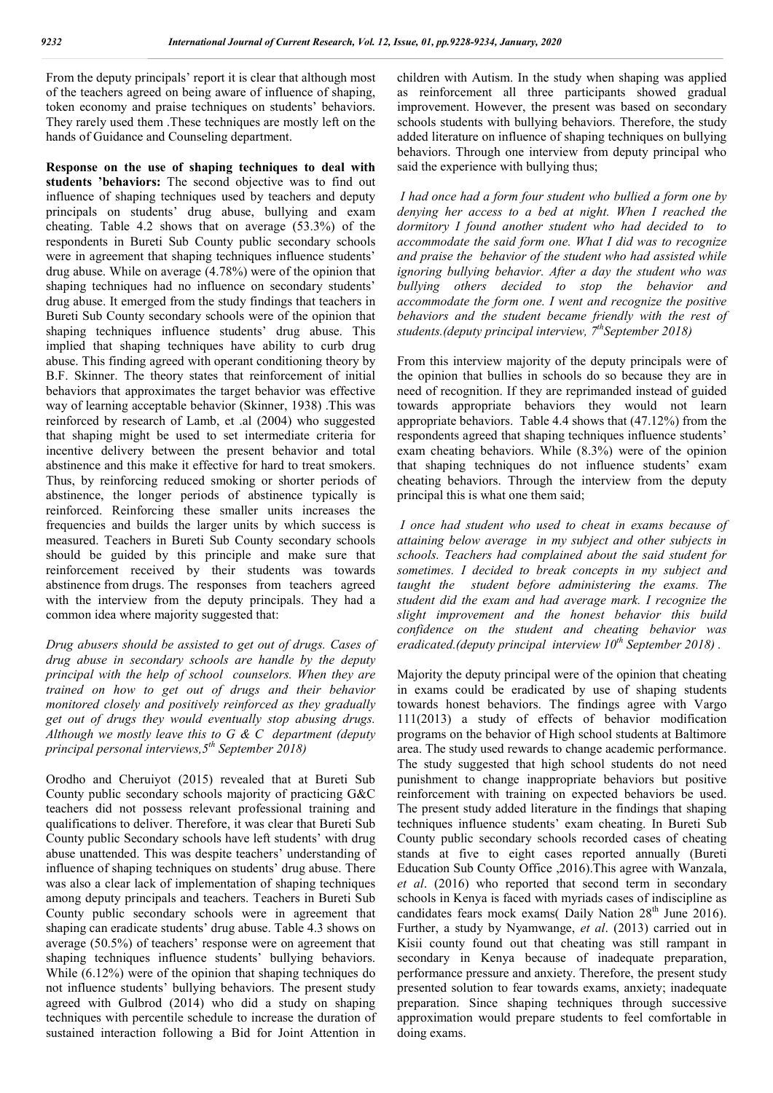From the deputy principals' report it is clear that although most of the teachers agreed on being aware of influence of shaping, token economy and praise techniques on students' behaviors. They rarely used them .These techniques are mostly left on the hands of Guidance and Counseling department.

**Response on the use of shaping techniques to deal with students 'behaviors:** The second objective was to find out influence of shaping techniques used by teachers and deputy principals on students' drug abuse, bullying and exam cheating. Table 4.2 shows that on average (53.3%) of the respondents in Bureti Sub County public secondary schools were in agreement that shaping techniques influence students' drug abuse. While on average (4.78%) were of the opinion that shaping techniques had no influence on secondary students' drug abuse. It emerged from the study findings that teachers in Bureti Sub County secondary schools were of the opinion that shaping techniques influence students' drug abuse. This implied that shaping techniques have ability to curb drug abuse. This finding agreed with operant conditioning theory by B.F. Skinner. The theory states that reinforcement of initial behaviors that approximates the target behavior was effective way of learning acceptable behavior (Skinner, 1938) .This was reinforced by research of Lamb, et .al (2004) who suggested that shaping might be used to set intermediate criteria for incentive delivery between the present behavior and total abstinence and this make it effective for hard to treat smokers. Thus, by reinforcing reduced smoking or shorter periods of abstinence, the longer periods of abstinence typically is reinforced. Reinforcing these smaller units increases the frequencies and builds the larger units by which success is measured. Teachers in Bureti Sub County secondary schools should be guided by this principle and make sure that reinforcement received by their students was towards abstinence from drugs. The responses from teachers agreed with the interview from the deputy principals. They had a common idea where majority suggested that:

*Drug abusers should be assisted to get out of drugs. Cases of drug abuse in secondary schools are handle by the deputy principal with the help of school counselors. When they are trained on how to get out of drugs and their behavior monitored closely and positively reinforced as they gradually get out of drugs they would eventually stop abusing drugs. Although we mostly leave this to G & C department (deputy principal personal interviews,5th September 2018)*

Orodho and Cheruiyot (2015) revealed that at Bureti Sub County public secondary schools majority of practicing G&C teachers did not possess relevant professional training and qualifications to deliver. Therefore, it was clear that Bureti Sub County public Secondary schools have left students' with drug abuse unattended. This was despite teachers' understanding of influence of shaping techniques on students' drug abuse. There was also a clear lack of implementation of shaping techniques among deputy principals and teachers. Teachers in Bureti Sub County public secondary schools were in agreement that shaping can eradicate students' drug abuse. Table 4.3 shows on average (50.5%) of teachers' response were on agreement that shaping techniques influence students' bullying behaviors. While (6.12%) were of the opinion that shaping techniques do not influence students' bullying behaviors. The present study agreed with Gulbrod (2014) who did a study on shaping techniques with percentile schedule to increase the duration of sustained interaction following a Bid for Joint Attention in children with Autism. In the study when shaping was applied as reinforcement all three participants showed gradual improvement. However, the present was based on secondary schools students with bullying behaviors. Therefore, the study added literature on influence of shaping techniques on bullying behaviors. Through one interview from deputy principal who said the experience with bullying thus;

*I had once had a form four student who bullied a form one by denying her access to a bed at night. When I reached the dormitory I found another student who had decided to to accommodate the said form one. What I did was to recognize and praise the behavior of the student who had assisted while ignoring bullying behavior. After a day the student who was bullying others decided to stop the behavior and accommodate the form one. I went and recognize the positive behaviors and the student became friendly with the rest of students.(deputy principal interview, 7thSeptember 2018)*

From this interview majority of the deputy principals were of the opinion that bullies in schools do so because they are in need of recognition. If they are reprimanded instead of guided towards appropriate behaviors they would not learn appropriate behaviors. Table 4.4 shows that (47.12%) from the respondents agreed that shaping techniques influence students' exam cheating behaviors. While (8.3%) were of the opinion that shaping techniques do not influence students' exam cheating behaviors. Through the interview from the deputy principal this is what one them said;

*I once had student who used to cheat in exams because of attaining below average in my subject and other subjects in schools. Teachers had complained about the said student for sometimes. I decided to break concepts in my subject and taught the student before administering the exams. The student did the exam and had average mark. I recognize the slight improvement and the honest behavior this build confidence on the student and cheating behavior was eradicated.(deputy principal interview 10th September 2018) .*

Majority the deputy principal were of the opinion that cheating in exams could be eradicated by use of shaping students towards honest behaviors. The findings agree with Vargo 111(2013) a study of effects of behavior modification programs on the behavior of High school students at Baltimore area. The study used rewards to change academic performance. The study suggested that high school students do not need punishment to change inappropriate behaviors but positive reinforcement with training on expected behaviors be used. The present study added literature in the findings that shaping techniques influence students' exam cheating. In Bureti Sub County public secondary schools recorded cases of cheating stands at five to eight cases reported annually (Bureti Education Sub County Office ,2016).This agree with Wanzala, *et al*. (2016) who reported that second term in secondary schools in Kenya is faced with myriads cases of indiscipline as candidates fears mock exams( Daily Nation 28<sup>th</sup> June 2016). Further, a study by Nyamwange, *et al*. (2013) carried out in Kisii county found out that cheating was still rampant in secondary in Kenya because of inadequate preparation, performance pressure and anxiety. Therefore, the present study presented solution to fear towards exams, anxiety; inadequate preparation. Since shaping techniques through successive approximation would prepare students to feel comfortable in doing exams.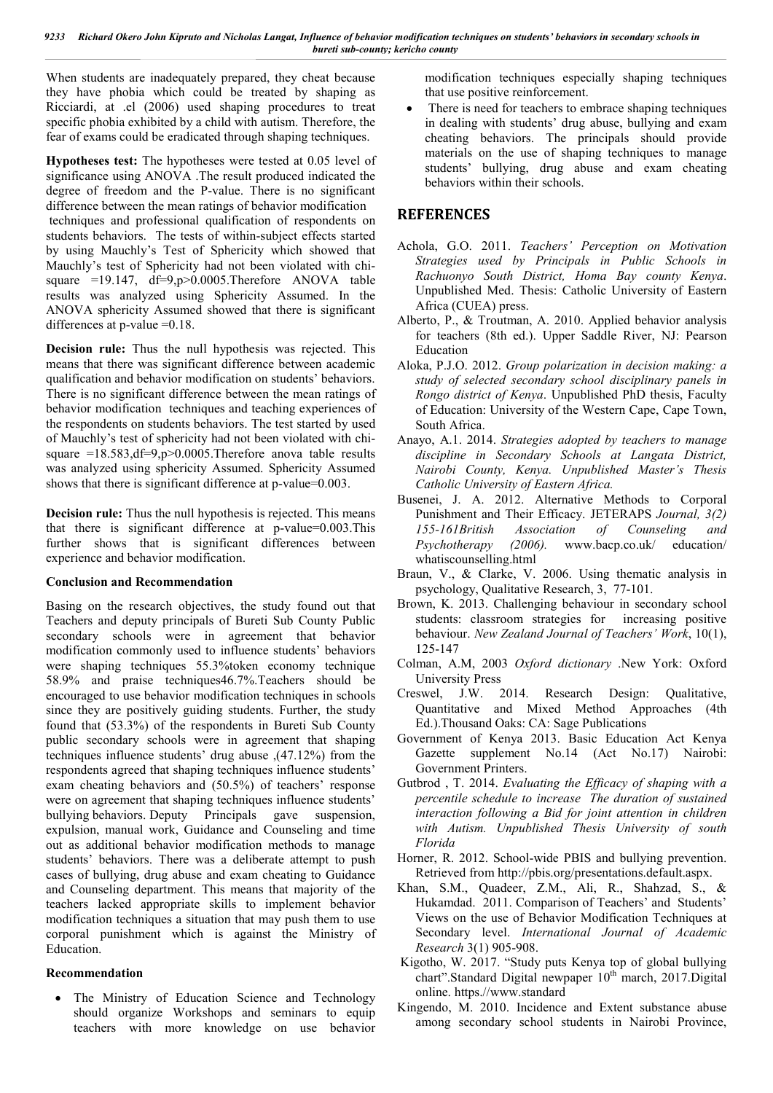When students are inadequately prepared, they cheat because they have phobia which could be treated by shaping as Ricciardi, at .el (2006) used shaping procedures to treat specific phobia exhibited by a child with autism. Therefore, the fear of exams could be eradicated through shaping techniques.

**Hypotheses test:** The hypotheses were tested at 0.05 level of significance using ANOVA .The result produced indicated the degree of freedom and the P-value. There is no significant difference between the mean ratings of behavior modification techniques and professional qualification of respondents on students behaviors. The tests of within-subject effects started by using Mauchly's Test of Sphericity which showed that Mauchly's test of Sphericity had not been violated with chisquare  $=19.147$ ,  $df=9,p>0.0005$ . Therefore ANOVA table results was analyzed using Sphericity Assumed. In the ANOVA sphericity Assumed showed that there is significant differences at p-value =0.18.

**Decision rule:** Thus the null hypothesis was rejected. This means that there was significant difference between academic qualification and behavior modification on students' behaviors. There is no significant difference between the mean ratings of behavior modification techniques and teaching experiences of the respondents on students behaviors. The test started by used of Mauchly's test of sphericity had not been violated with chisquare  $=18.583, df=9, p>0.0005$ . Therefore anova table results was analyzed using sphericity Assumed. Sphericity Assumed shows that there is significant difference at p-value=0.003.

**Decision rule:** Thus the null hypothesis is rejected. This means that there is significant difference at p-value=0.003.This further shows that is significant differences between experience and behavior modification.

### **Conclusion and Recommendation**

Basing on the research objectives, the study found out that Teachers and deputy principals of Bureti Sub County Public secondary schools were in agreement that behavior modification commonly used to influence students' behaviors were shaping techniques 55.3%token economy technique 58.9% and praise techniques46.7%.Teachers should be encouraged to use behavior modification techniques in schools since they are positively guiding students. Further, the study found that (53.3%) of the respondents in Bureti Sub County public secondary schools were in agreement that shaping techniques influence students' drug abuse ,(47.12%) from the respondents agreed that shaping techniques influence students' exam cheating behaviors and (50.5%) of teachers' response were on agreement that shaping techniques influence students' bullying behaviors. Deputy Principals gave suspension, expulsion, manual work, Guidance and Counseling and time out as additional behavior modification methods to manage students' behaviors. There was a deliberate attempt to push cases of bullying, drug abuse and exam cheating to Guidance and Counseling department. This means that majority of the teachers lacked appropriate skills to implement behavior modification techniques a situation that may push them to use corporal punishment which is against the Ministry of Education.

### **Recommendation**

 The Ministry of Education Science and Technology should organize Workshops and seminars to equip teachers with more knowledge on use behavior

modification techniques especially shaping techniques that use positive reinforcement.

There is need for teachers to embrace shaping techniques in dealing with students' drug abuse, bullying and exam cheating behaviors. The principals should provide materials on the use of shaping techniques to manage students' bullying, drug abuse and exam cheating behaviors within their schools.

## **REFERENCES**

- Achola, G.O. 2011. *Teachers' Perception on Motivation Strategies used by Principals in Public Schools in Rachuonyo South District, Homa Bay county Kenya*. Unpublished Med. Thesis: Catholic University of Eastern Africa (CUEA) press.
- Alberto, P., & Troutman, A. 2010. Applied behavior analysis for teachers (8th ed.). Upper Saddle River, NJ: Pearson Education
- Aloka, P.J.O. 2012. *Group polarization in decision making: a study of selected secondary school disciplinary panels in Rongo district of Kenya*. Unpublished PhD thesis, Faculty of Education: University of the Western Cape, Cape Town, South Africa.
- Anayo, A.1. 2014. *Strategies adopted by teachers to manage discipline in Secondary Schools at Langata District, Nairobi County, Kenya. Unpublished Master's Thesis Catholic University of Eastern Africa.*
- Busenei, J. A. 2012. Alternative Methods to Corporal Punishment and Their Efficacy. JETERAPS *Journal, 3(2) 155-161British Association of Counseling and Psychotherapy (2006).* www.bacp.co.uk/ education/ whatiscounselling.html
- Braun, V., & Clarke, V. 2006. Using thematic analysis in psychology, Qualitative Research, 3, 77-101.
- Brown, K. 2013. Challenging behaviour in secondary school students: classroom strategies for increasing positive behaviour. *New Zealand Journal of Teachers' Work*, 10(1), 125-147
- Colman, A.M, 2003 *Oxford dictionary* .New York: Oxford University Press
- Creswel, J.W. 2014. Research Design: Qualitative, Quantitative and Mixed Method Approaches (4th Ed.).Thousand Oaks: CA: Sage Publications
- Government of Kenya 2013. Basic Education Act Kenya Gazette supplement No.14 (Act No.17) Nairobi: Government Printers.
- Gutbrod , T. 2014. *Evaluating the Efficacy of shaping with a percentile schedule to increase The duration of sustained interaction following a Bid for joint attention in children with Autism. Unpublished Thesis University of south Florida*
- Horner, R. 2012. School-wide PBIS and bullying prevention. Retrieved from http://pbis.org/presentations.default.aspx.
- Khan, S.M., Quadeer, Z.M., Ali, R., Shahzad, S., & Hukamdad. 2011. Comparison of Teachers' and Students' Views on the use of Behavior Modification Techniques at Secondary level. *International Journal of Academic Research* 3(1) 905-908.
- Kigotho, W. 2017. "Study puts Kenya top of global bullying chart".Standard Digital newpaper 10<sup>th</sup> march, 2017.Digital online. https.//www.standard
- Kingendo, M. 2010. Incidence and Extent substance abuse among secondary school students in Nairobi Province,